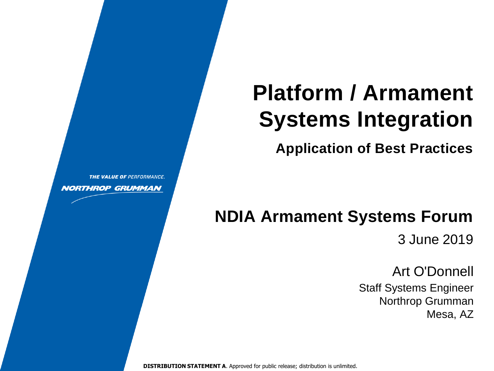# **Platform / Armament Systems Integration**

**Application of Best Practices**

# **NDIA Armament Systems Forum**

3 June 2019

Art O'Donnell Staff Systems Engineer Northrop Grumman Mesa, AZ

**DISTRIBUTION STATEMENT A**. Approved for public release; distribution is unlimited.

THE VALUE OF PERFORMANCE.

**NORTHROP GRUMMAN**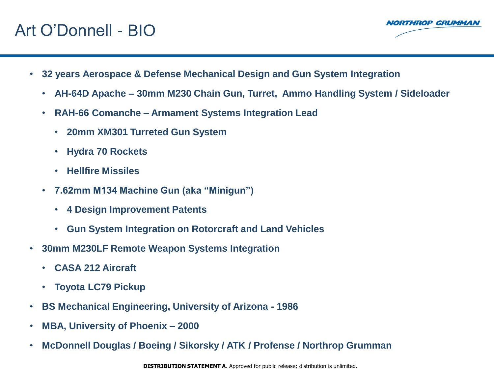## Art O'Donnell - BIO



- **32 years Aerospace & Defense Mechanical Design and Gun System Integration**
	- **AH-64D Apache – 30mm M230 Chain Gun, Turret, Ammo Handling System / Sideloader**
	- **RAH-66 Comanche – Armament Systems Integration Lead**
		- **20mm XM301 Turreted Gun System**
		- **Hydra 70 Rockets**
		- **Hellfire Missiles**
	- **7.62mm M134 Machine Gun (aka "Minigun")**
		- **4 Design Improvement Patents**
		- **Gun System Integration on Rotorcraft and Land Vehicles**
- **30mm M230LF Remote Weapon Systems Integration**
	- **CASA 212 Aircraft**
	- **Toyota LC79 Pickup**
- **BS Mechanical Engineering, University of Arizona - 1986**
- **MBA, University of Phoenix – 2000**
- **McDonnell Douglas / Boeing / Sikorsky / ATK / Profense / Northrop Grumman**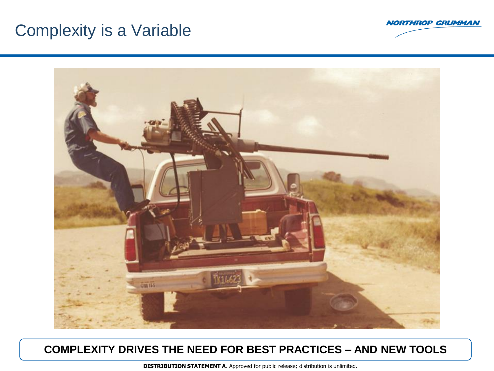### Complexity is a Variable





#### **COMPLEXITY DRIVES THE NEED FOR BEST PRACTICES – AND NEW TOOLS**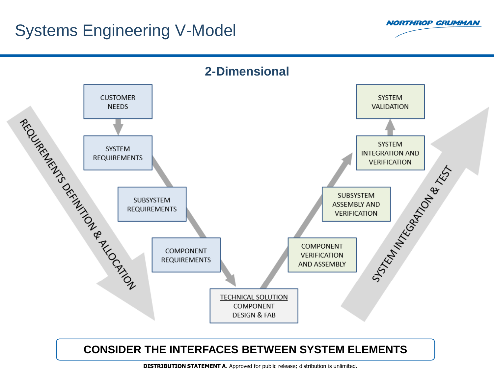### Systems Engineering V-Model





#### **CONSIDER THE INTERFACES BETWEEN SYSTEM ELEMENTS**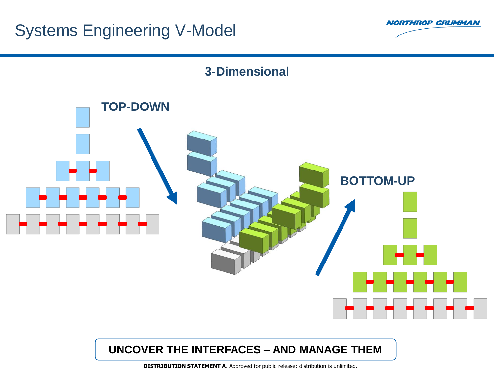



#### **UNCOVER THE INTERFACES – AND MANAGE THEM**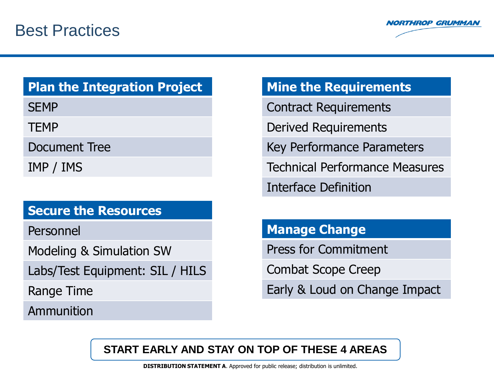

### **Plan the Integration Project**

**SEMP** 

TEMP

Document Tree

IMP / IMS

#### **Secure the Resources**

Personnel

Modeling & Simulation SW

Labs/Test Equipment: SIL / HILS

Range Time

Ammunition

### **Mine the Requirements**

Contract Requirements

Derived Requirements

Key Performance Parameters

Technical Performance Measures

Interface Definition

### **Manage Change**

Press for Commitment

Combat Scope Creep

Early & Loud on Change Impact

#### **START EARLY AND STAY ON TOP OF THESE 4 AREAS**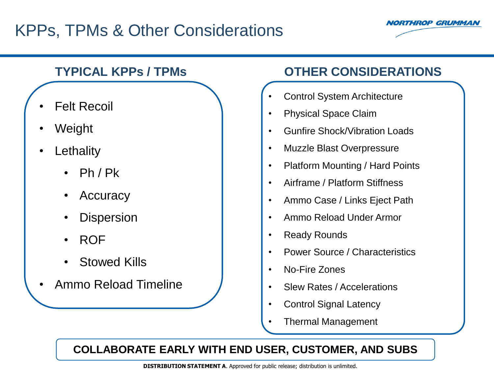# KPPs, TPMs & Other Considerations



### **TYPICAL KPPs / TPMs**

- **Felt Recoil**
- Weight
- **Lethality** 
	- $Ph / Pk$
	- **Accuracy**
	- **Dispersion**
	- ROF
	- **Stowed Kills**
- Ammo Reload Timeline

### **OTHER CONSIDERATIONS**

- Control System Architecture
- Physical Space Claim
- Gunfire Shock/Vibration Loads
- Muzzle Blast Overpressure
- Platform Mounting / Hard Points
- Airframe / Platform Stiffness
- Ammo Case / Links Eject Path
- Ammo Reload Under Armor
- **Ready Rounds**
- Power Source / Characteristics
- No-Fire Zones
- Slew Rates / Accelerations
- Control Signal Latency
- Thermal Management

#### **COLLABORATE EARLY WITH END USER, CUSTOMER, AND SUBS**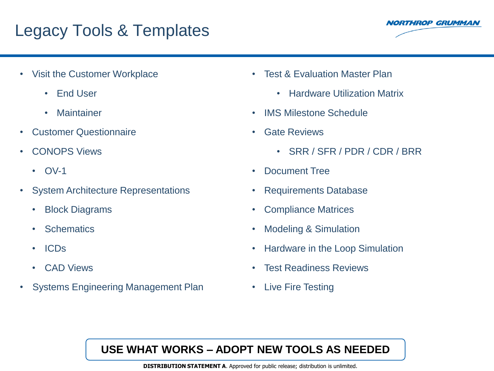# Legacy Tools & Templates



- Visit the Customer Workplace
	- End User
	- Maintainer
- Customer Questionnaire
- CONOPS Views
	- OV-1
- System Architecture Representations
	- Block Diagrams
	- **Schematics**
	- ICDs
	- CAD Views
- Systems Engineering Management Plan
- Test & Evaluation Master Plan
	- Hardware Utilization Matrix
- IMS Milestone Schedule
- Gate Reviews
	- SRR / SFR / PDR / CDR / BRR
- Document Tree
- Requirements Database
- Compliance Matrices
- Modeling & Simulation
- Hardware in the Loop Simulation
- Test Readiness Reviews
- Live Fire Testing

#### **USE WHAT WORKS – ADOPT NEW TOOLS AS NEEDED**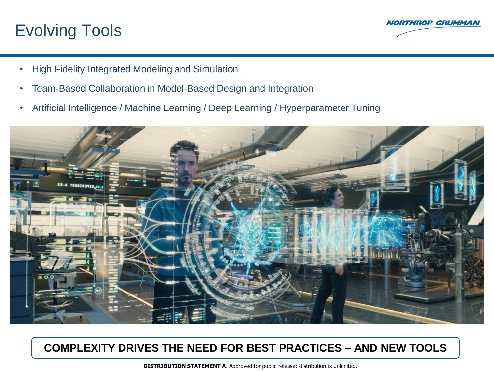## Evolving Tools



- High Fidelity Integrated Modeling and Simulation
- Team-Based Collaboration in Model-Based Design and Integration
- Artificial Intelligence / Machine Learning / Deep Learning / Hyperparameter Tuning



#### **COMPLEXITY DRIVES THE NEED FOR BEST PRACTICES – AND NEW TOOLS**